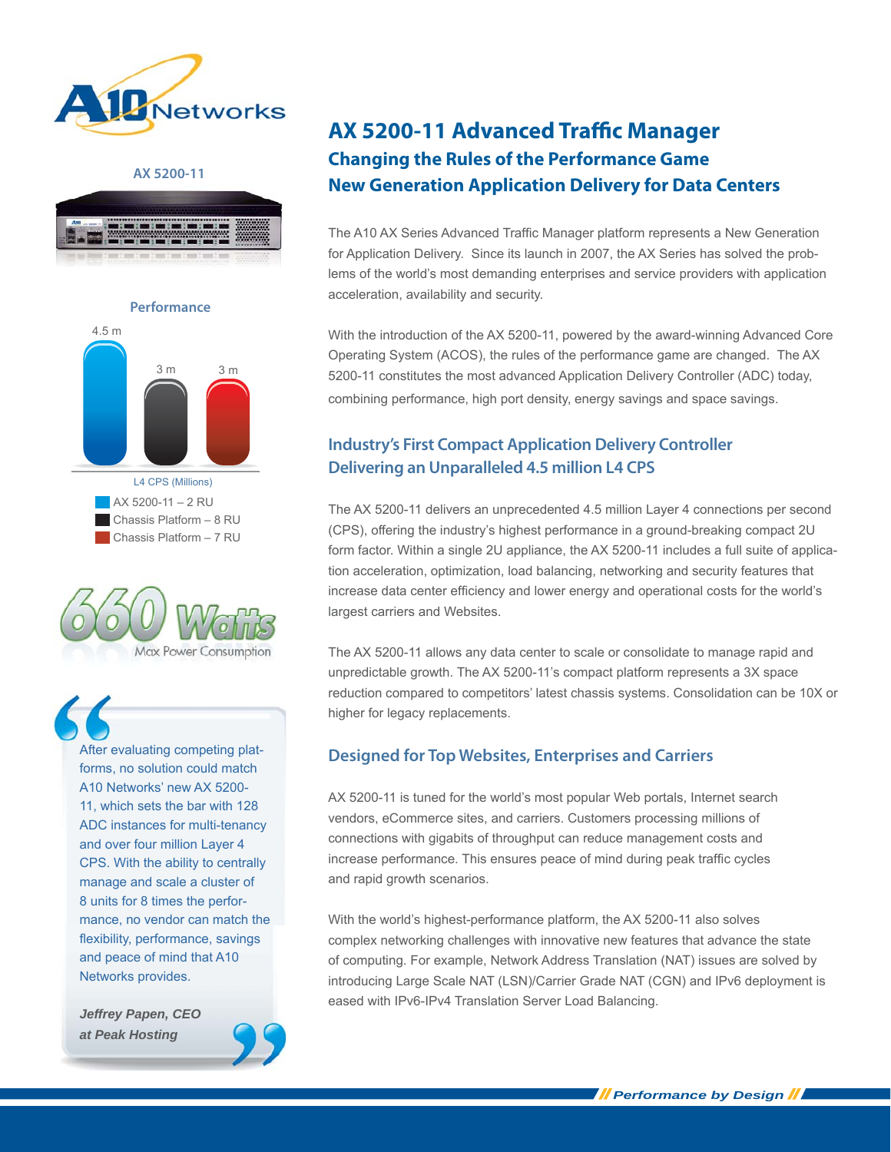

### **AX 5200-11**









After evaluating competing platforms, no solution could match A10 Networks' new AX 5200- 11, which sets the bar with 128 ADC instances for multi-tenancy and over four million Layer 4 CPS. With the ability to centrally manage and scale a cluster of 8 units for 8 times the performance, no vendor can match the flexibility, performance, savings and peace of mind that A10 Networks provides.

*Jeffrey Papen, CEO at Peak Hosting*



# **AX 5200-11 Advanced Traffic Manager Changing the Rules of the Performance Game New Generation Application Delivery for Data Centers**

The A10 AX Series Advanced Traffic Manager platform represents a New Generation for Application Delivery. Since its launch in 2007, the AX Series has solved the problems of the world's most demanding enterprises and service providers with application acceleration, availability and security.

With the introduction of the AX 5200-11, powered by the award-winning Advanced Core Operating System (ACOS), the rules of the performance game are changed. The AX 5200-11 constitutes the most advanced Application Delivery Controller (ADC) today, combining performance, high port density, energy savings and space savings.

# **Industry's First Compact Application Delivery Controller Delivering an Unparalleled 4.5 million L4 CPS**

The AX 5200-11 delivers an unprecedented 4.5 million Layer 4 connections per second (CPS), offering the industry's highest performance in a ground-breaking compact 2U form factor. Within a single 2U appliance, the AX 5200-11 includes a full suite of application acceleration, optimization, load balancing, networking and security features that increase data center efficiency and lower energy and operational costs for the world's largest carriers and Websites.

The AX 5200-11 allows any data center to scale or consolidate to manage rapid and unpredictable growth. The AX 5200-11's compact platform represents a 3X space reduction compared to competitors' latest chassis systems. Consolidation can be 10X or higher for legacy replacements.

# **Designed for Top Websites, Enterprises and Carriers**

AX 5200-11 is tuned for the world's most popular Web portals, Internet search vendors, eCommerce sites, and carriers. Customers processing millions of connections with gigabits of throughput can reduce management costs and increase performance. This ensures peace of mind during peak traffic cycles and rapid growth scenarios.

With the world's highest-performance platform, the AX 5200-11 also solves complex networking challenges with innovative new features that advance the state of computing. For example, Network Address Translation (NAT) issues are solved by introducing Large Scale NAT (LSN)/Carrier Grade NAT (CGN) and IPv6 deployment is eased with IPv6-IPv4 Translation Server Load Balancing.

*Performance by Design*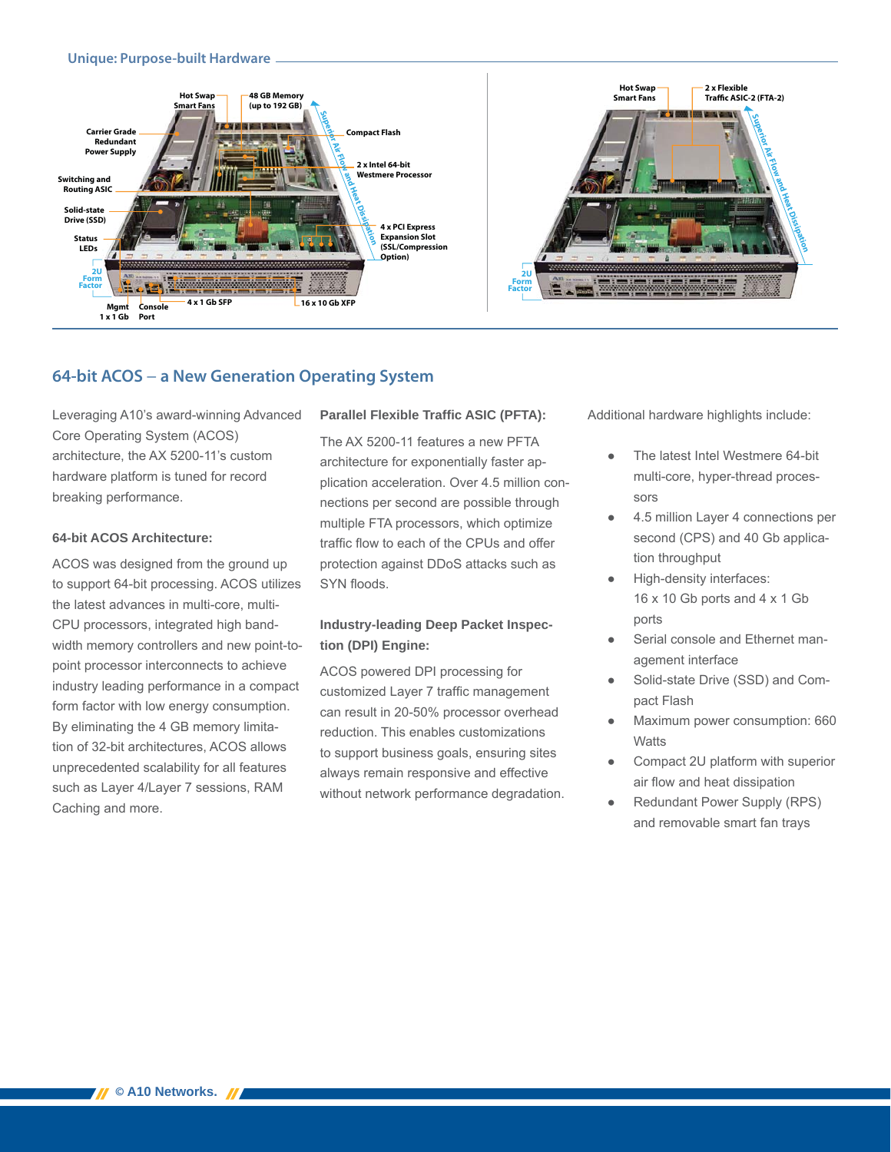## **Unique: Purpose-built Hardware**



# **64-bit ACOS** − **a New Generation Operating System**

Leveraging A10's award-winning Advanced Core Operating System (ACOS) architecture, the AX 5200-11's custom hardware platform is tuned for record breaking performance.

## **64-bit ACOS Architecture:**

ACOS was designed from the ground up to support 64-bit processing. ACOS utilizes the latest advances in multi-core, multi-CPU processors, integrated high bandwidth memory controllers and new point-topoint processor interconnects to achieve industry leading performance in a compact form factor with low energy consumption. By eliminating the 4 GB memory limitation of 32-bit architectures, ACOS allows unprecedented scalability for all features such as Layer 4/Layer 7 sessions, RAM Caching and more.

## **Parallel Flexible Traffic ASIC (PFTA):**

The AX 5200-11 features a new PFTA architecture for exponentially faster application acceleration. Over 4.5 million connections per second are possible through multiple FTA processors, which optimize traffic flow to each of the CPUs and offer protection against DDoS attacks such as SYN floods.

## **Industry-leading Deep Packet Inspection (DPI) Engine:**

ACOS powered DPI processing for customized Layer 7 traffic management can result in 20-50% processor overhead reduction. This enables customizations to support business goals, ensuring sites always remain responsive and effective without network performance degradation. Additional hardware highlights include:

- The latest Intel Westmere 64-bit multi-core, hyper-thread processors
- 4.5 million Layer 4 connections per second (CPS) and 40 Gb application throughput
- High-density interfaces: 16 x 10 Gb ports and 4 x 1 Gb ports
- Serial console and Ethernet management interface
- Solid-state Drive (SSD) and Compact Flash
- Maximum power consumption: 660 **Watts**
- Compact 2U platform with superior air flow and heat dissipation
- Redundant Power Supply (RPS) and removable smart fan trays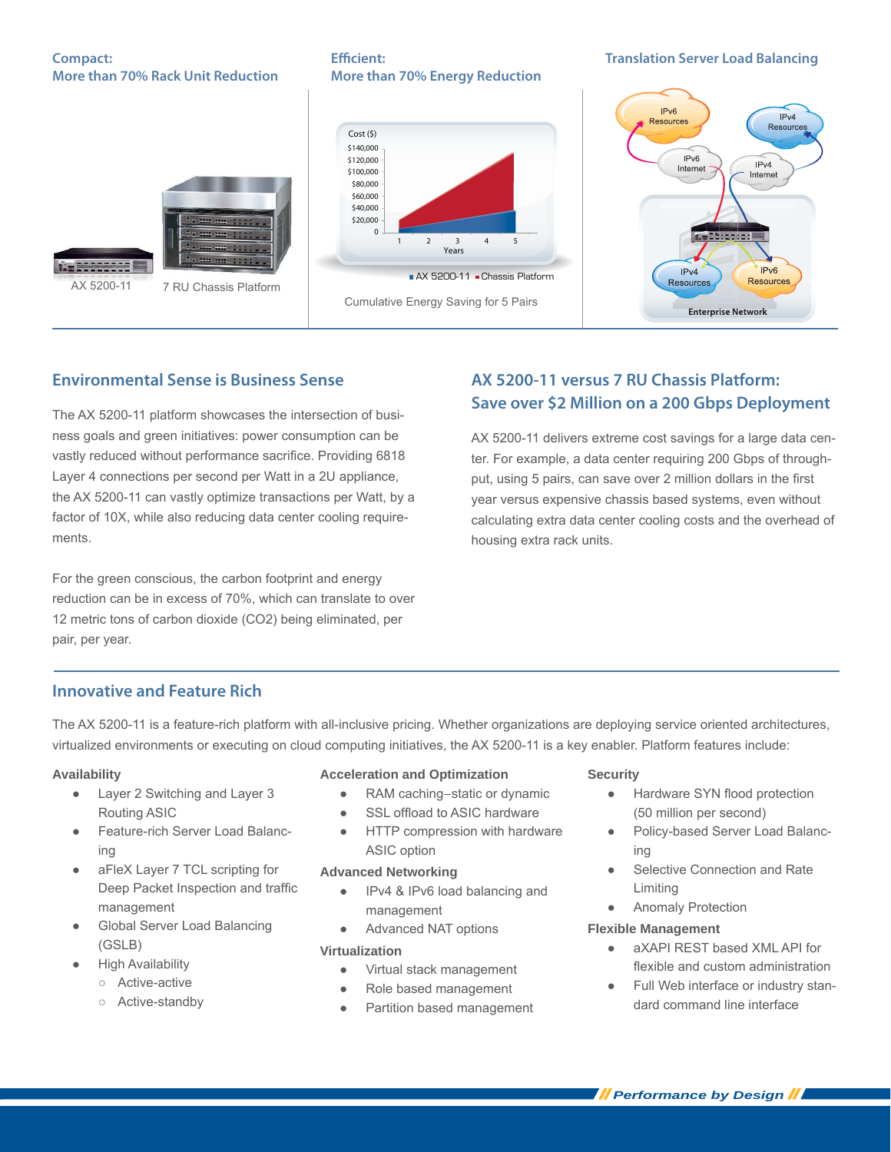## **Compact: More than 70% Rack Unit Reduction**

**Effi cient: More than 70% Energy Reduction**

**Translation Server Load Balancing**



The AX 5200-11 platform showcases the intersection of business goals and green initiatives: power consumption can be vastly reduced without performance sacrifice. Providing 6818 Layer 4 connections per second per Watt in a 2U appliance, the AX 5200-11 can vastly optimize transactions per Watt, by a factor of 10X, while also reducing data center cooling requirements.

For the green conscious, the carbon footprint and energy reduction can be in excess of 70%, which can translate to over 12 metric tons of carbon dioxide (CO2) being eliminated, per pair, per year.

# **Environmental Sense is Business Sense AX 5200-11 versus 7 RU Chassis Platform: Save over \$2 Million on a 200 Gbps Deployment**

AX 5200-11 delivers extreme cost savings for a large data center. For example, a data center requiring 200 Gbps of throughput, using 5 pairs, can save over 2 million dollars in the first year versus expensive chassis based systems, even without calculating extra data center cooling costs and the overhead of housing extra rack units.

# **Innovative and Feature Rich**

The AX 5200-11 is a feature-rich platform with all-inclusive pricing. Whether organizations are deploying service oriented architectures, virtualized environments or executing on cloud computing initiatives, the AX 5200-11 is a key enabler. Platform features include:

## **Availability**

- Layer 2 Switching and Layer 3 Routing ASIC
- Feature-rich Server Load Balancing
- aFleX Layer 7 TCL scripting for Deep Packet Inspection and traffic management
- **Global Server Load Balancing** (GSLB)
- **High Availability** 
	- Active-active
	- Active-standby

## **Acceleration and Optimization**

- RAM caching–static or dynamic
- SSL offload to ASIC hardware
- HTTP compression with hardware ASIC option

## **Advanced Networking**

- IPv4 & IPv6 load balancing and management
- Advanced NAT options

## **Virtualization**

- Virtual stack management
- Role based management
- Partition based management

## **Security**

- Hardware SYN flood protection (50 million per second)
- Policy-based Server Load Balancing
- Selective Connection and Rate Limiting
- Anomaly Protection

## **Flexible Management**

- aXAPI RFST based XML API for flexible and custom administration
- Full Web interface or industry standard command line interface

*Performance by Design*